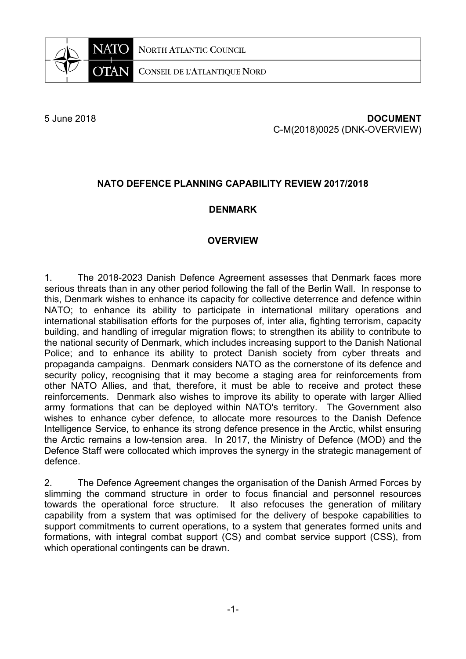**NORTH ATLANTIC COUNCIL** 



**CONSEIL DE L'ATLANTIQUE NORD** 

### 5 June 2018 **DOCUMENT** C-M(2018)0025 (DNK-OVERVIEW)

# **NATO DEFENCE PLANNING CAPABILITY REVIEW 2017/2018**

## **DENMARK**

### **OVERVIEW**

1. The 2018-2023 Danish Defence Agreement assesses that Denmark faces more serious threats than in any other period following the fall of the Berlin Wall. In response to this, Denmark wishes to enhance its capacity for collective deterrence and defence within NATO; to enhance its ability to participate in international military operations and international stabilisation efforts for the purposes of, inter alia, fighting terrorism, capacity building, and handling of irregular migration flows; to strengthen its ability to contribute to the national security of Denmark, which includes increasing support to the Danish National Police; and to enhance its ability to protect Danish society from cyber threats and propaganda campaigns. Denmark considers NATO as the cornerstone of its defence and security policy, recognising that it may become a staging area for reinforcements from other NATO Allies, and that, therefore, it must be able to receive and protect these reinforcements. Denmark also wishes to improve its ability to operate with larger Allied army formations that can be deployed within NATO's territory. The Government also wishes to enhance cyber defence, to allocate more resources to the Danish Defence Intelligence Service, to enhance its strong defence presence in the Arctic, whilst ensuring the Arctic remains a low-tension area. In 2017, the Ministry of Defence (MOD) and the Defence Staff were collocated which improves the synergy in the strategic management of defence.

2. The Defence Agreement changes the organisation of the Danish Armed Forces by slimming the command structure in order to focus financial and personnel resources towards the operational force structure. It also refocuses the generation of military capability from a system that was optimised for the delivery of bespoke capabilities to support commitments to current operations, to a system that generates formed units and formations, with integral combat support (CS) and combat service support (CSS), from which operational contingents can be drawn.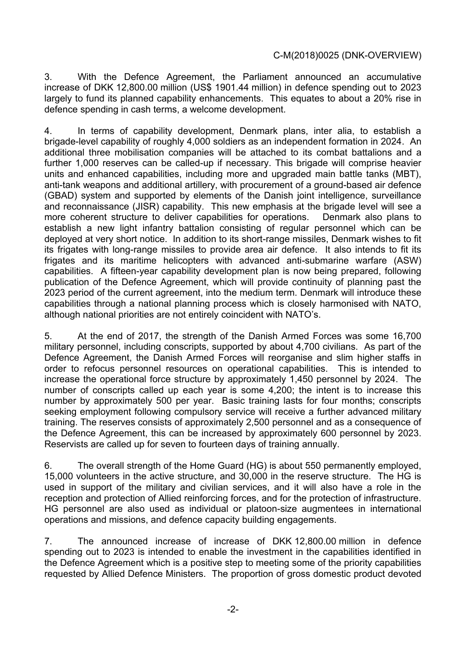3. With the Defence Agreement, the Parliament announced an accumulative increase of DKK 12,800.00 million (US\$ 1901.44 million) in defence spending out to 2023 largely to fund its planned capability enhancements. This equates to about a 20% rise in defence spending in cash terms, a welcome development.

4. In terms of capability development, Denmark plans, inter alia, to establish a brigade-level capability of roughly 4,000 soldiers as an independent formation in 2024. An additional three mobilisation companies will be attached to its combat battalions and a further 1,000 reserves can be called-up if necessary. This brigade will comprise heavier units and enhanced capabilities, including more and upgraded main battle tanks (MBT), anti-tank weapons and additional artillery, with procurement of a ground-based air defence (GBAD) system and supported by elements of the Danish joint intelligence, surveillance and reconnaissance (JISR) capability. This new emphasis at the brigade level will see a more coherent structure to deliver capabilities for operations. Denmark also plans to establish a new light infantry battalion consisting of regular personnel which can be deployed at very short notice. In addition to its short-range missiles, Denmark wishes to fit its frigates with long-range missiles to provide area air defence. It also intends to fit its frigates and its maritime helicopters with advanced anti-submarine warfare (ASW) capabilities. A fifteen-year capability development plan is now being prepared, following publication of the Defence Agreement, which will provide continuity of planning past the 2023 period of the current agreement, into the medium term. Denmark will introduce these capabilities through a national planning process which is closely harmonised with NATO, although national priorities are not entirely coincident with NATO's.

5. At the end of 2017, the strength of the Danish Armed Forces was some 16,700 military personnel, including conscripts, supported by about 4,700 civilians. As part of the Defence Agreement, the Danish Armed Forces will reorganise and slim higher staffs in order to refocus personnel resources on operational capabilities. This is intended to increase the operational force structure by approximately 1,450 personnel by 2024. The number of conscripts called up each year is some 4,200; the intent is to increase this number by approximately 500 per year. Basic training lasts for four months; conscripts seeking employment following compulsory service will receive a further advanced military training. The reserves consists of approximately 2,500 personnel and as a consequence of the Defence Agreement, this can be increased by approximately 600 personnel by 2023. Reservists are called up for seven to fourteen days of training annually.

6. The overall strength of the Home Guard (HG) is about 550 permanently employed, 15,000 volunteers in the active structure, and 30,000 in the reserve structure. The HG is used in support of the military and civilian services, and it will also have a role in the reception and protection of Allied reinforcing forces, and for the protection of infrastructure. HG personnel are also used as individual or platoon-size augmentees in international operations and missions, and defence capacity building engagements.

7. The announced increase of increase of DKK 12,800.00 million in defence spending out to 2023 is intended to enable the investment in the capabilities identified in the Defence Agreement which is a positive step to meeting some of the priority capabilities requested by Allied Defence Ministers. The proportion of gross domestic product devoted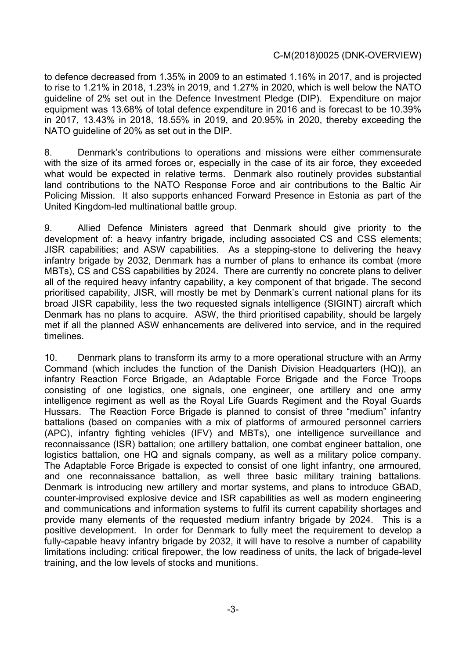to defence decreased from 1.35% in 2009 to an estimated 1.16% in 2017, and is projected to rise to 1.21% in 2018, 1.23% in 2019, and 1.27% in 2020, which is well below the NATO guideline of 2% set out in the Defence Investment Pledge (DIP). Expenditure on major equipment was 13.68% of total defence expenditure in 2016 and is forecast to be 10.39% in 2017, 13.43% in 2018, 18.55% in 2019, and 20.95% in 2020, thereby exceeding the NATO guideline of 20% as set out in the DIP.

8. Denmark's contributions to operations and missions were either commensurate with the size of its armed forces or, especially in the case of its air force, they exceeded what would be expected in relative terms. Denmark also routinely provides substantial land contributions to the NATO Response Force and air contributions to the Baltic Air Policing Mission. It also supports enhanced Forward Presence in Estonia as part of the United Kingdom-led multinational battle group.

9. Allied Defence Ministers agreed that Denmark should give priority to the development of: a heavy infantry brigade, including associated CS and CSS elements; JISR capabilities; and ASW capabilities. As a stepping-stone to delivering the heavy infantry brigade by 2032, Denmark has a number of plans to enhance its combat (more MBTs), CS and CSS capabilities by 2024. There are currently no concrete plans to deliver all of the required heavy infantry capability, a key component of that brigade. The second prioritised capability, JISR, will mostly be met by Denmark's current national plans for its broad JISR capability, less the two requested signals intelligence (SIGINT) aircraft which Denmark has no plans to acquire. ASW, the third prioritised capability, should be largely met if all the planned ASW enhancements are delivered into service, and in the required timelines.

10. Denmark plans to transform its army to a more operational structure with an Army Command (which includes the function of the Danish Division Headquarters (HQ)), an infantry Reaction Force Brigade, an Adaptable Force Brigade and the Force Troops consisting of one logistics, one signals, one engineer, one artillery and one army intelligence regiment as well as the Royal Life Guards Regiment and the Royal Guards Hussars. The Reaction Force Brigade is planned to consist of three "medium" infantry battalions (based on companies with a mix of platforms of armoured personnel carriers (APC), infantry fighting vehicles (IFV) and MBTs), one intelligence surveillance and reconnaissance (ISR) battalion; one artillery battalion, one combat engineer battalion, one logistics battalion, one HQ and signals company, as well as a military police company. The Adaptable Force Brigade is expected to consist of one light infantry, one armoured, and one reconnaissance battalion, as well three basic military training battalions. Denmark is introducing new artillery and mortar systems, and plans to introduce GBAD, counter-improvised explosive device and ISR capabilities as well as modern engineering and communications and information systems to fulfil its current capability shortages and provide many elements of the requested medium infantry brigade by 2024. This is a positive development. In order for Denmark to fully meet the requirement to develop a fully-capable heavy infantry brigade by 2032, it will have to resolve a number of capability limitations including: critical firepower, the low readiness of units, the lack of brigade-level training, and the low levels of stocks and munitions.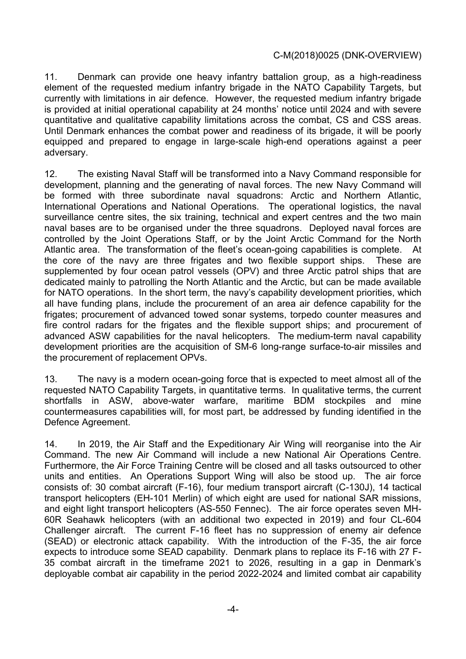11. Denmark can provide one heavy infantry battalion group, as a high-readiness element of the requested medium infantry brigade in the NATO Capability Targets, but currently with limitations in air defence. However, the requested medium infantry brigade is provided at initial operational capability at 24 months' notice until 2024 and with severe quantitative and qualitative capability limitations across the combat, CS and CSS areas. Until Denmark enhances the combat power and readiness of its brigade, it will be poorly equipped and prepared to engage in large-scale high-end operations against a peer adversary.

12. The existing Naval Staff will be transformed into a Navy Command responsible for development, planning and the generating of naval forces. The new Navy Command will be formed with three subordinate naval squadrons: Arctic and Northern Atlantic, International Operations and National Operations. The operational logistics, the naval surveillance centre sites, the six training, technical and expert centres and the two main naval bases are to be organised under the three squadrons. Deployed naval forces are controlled by the Joint Operations Staff, or by the Joint Arctic Command for the North Atlantic area. The transformation of the fleet's ocean-going capabilities is complete. At the core of the navy are three frigates and two flexible support ships. These are supplemented by four ocean patrol vessels (OPV) and three Arctic patrol ships that are dedicated mainly to patrolling the North Atlantic and the Arctic, but can be made available for NATO operations. In the short term, the navy's capability development priorities, which all have funding plans, include the procurement of an area air defence capability for the frigates; procurement of advanced towed sonar systems, torpedo counter measures and fire control radars for the frigates and the flexible support ships; and procurement of advanced ASW capabilities for the naval helicopters. The medium-term naval capability development priorities are the acquisition of SM-6 long-range surface-to-air missiles and the procurement of replacement OPVs.

13. The navy is a modern ocean-going force that is expected to meet almost all of the requested NATO Capability Targets, in quantitative terms. In qualitative terms, the current shortfalls in ASW, above-water warfare, maritime BDM stockpiles and mine countermeasures capabilities will, for most part, be addressed by funding identified in the Defence Agreement.

14. In 2019, the Air Staff and the Expeditionary Air Wing will reorganise into the Air Command. The new Air Command will include a new National Air Operations Centre. Furthermore, the Air Force Training Centre will be closed and all tasks outsourced to other units and entities. An Operations Support Wing will also be stood up. The air force consists of: 30 combat aircraft (F-16), four medium transport aircraft (C-130J), 14 tactical transport helicopters (EH-101 Merlin) of which eight are used for national SAR missions, and eight light transport helicopters (AS-550 Fennec). The air force operates seven MH-60R Seahawk helicopters (with an additional two expected in 2019) and four CL-604 Challenger aircraft. The current F-16 fleet has no suppression of enemy air defence (SEAD) or electronic attack capability. With the introduction of the F-35, the air force expects to introduce some SEAD capability. Denmark plans to replace its F-16 with 27 F-35 combat aircraft in the timeframe 2021 to 2026, resulting in a gap in Denmark's deployable combat air capability in the period 2022-2024 and limited combat air capability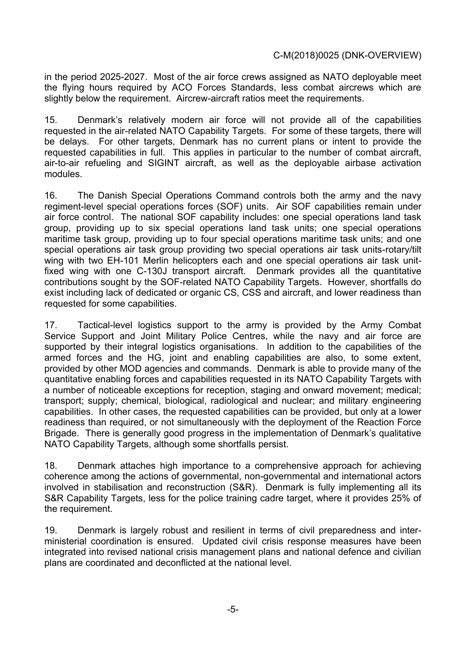in the period 2025-2027. Most of the air force crews assigned as NATO deployable meet the flying hours required by ACO Forces Standards, less combat aircrews which are slightly below the requirement. Aircrew-aircraft ratios meet the requirements.

15. Denmark's relatively modern air force will not provide all of the capabilities requested in the air-related NATO Capability Targets. For some of these targets, there will be delays. For other targets, Denmark has no current plans or intent to provide the requested capabilities in full. This applies in particular to the number of combat aircraft, air-to-air refueling and SIGINT aircraft, as well as the deployable airbase activation modules.

16. The Danish Special Operations Command controls both the army and the navy regiment-level special operations forces (SOF) units. Air SOF capabilities remain under air force control. The national SOF capability includes: one special operations land task group, providing up to six special operations land task units; one special operations maritime task group, providing up to four special operations maritime task units; and one special operations air task group providing two special operations air task units-rotary/tilt wing with two EH-101 Merlin helicopters each and one special operations air task unitfixed wing with one C-130J transport aircraft. Denmark provides all the quantitative contributions sought by the SOF-related NATO Capability Targets. However, shortfalls do exist including lack of dedicated or organic CS, CSS and aircraft, and lower readiness than requested for some capabilities.

17. Tactical-level logistics support to the army is provided by the Army Combat Service Support and Joint Military Police Centres, while the navy and air force are supported by their integral logistics organisations. In addition to the capabilities of the armed forces and the HG, joint and enabling capabilities are also, to some extent, provided by other MOD agencies and commands. Denmark is able to provide many of the quantitative enabling forces and capabilities requested in its NATO Capability Targets with a number of noticeable exceptions for reception, staging and onward movement; medical; transport; supply; chemical, biological, radiological and nuclear; and military engineering capabilities. In other cases, the requested capabilities can be provided, but only at a lower readiness than required, or not simultaneously with the deployment of the Reaction Force Brigade. There is generally good progress in the implementation of Denmark's qualitative NATO Capability Targets, although some shortfalls persist.

18. Denmark attaches high importance to a comprehensive approach for achieving coherence among the actions of governmental, non-governmental and international actors involved in stabilisation and reconstruction (S&R). Denmark is fully implementing all its S&R Capability Targets, less for the police training cadre target, where it provides 25% of the requirement.

19. Denmark is largely robust and resilient in terms of civil preparedness and interministerial coordination is ensured. Updated civil crisis response measures have been integrated into revised national crisis management plans and national defence and civilian plans are coordinated and deconflicted at the national level.